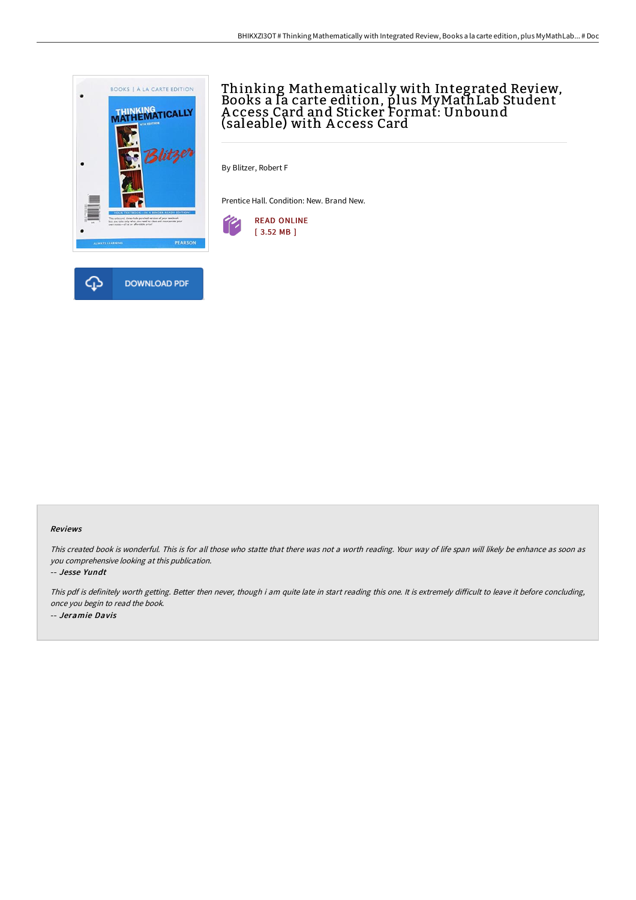

# Thinking Mathematically with Integrated Review, Books a la carte edition, plus MyMathLab Student A ccess Card and Sticker Format: Unbound (saleable) with A ccess Card

By Blitzer, Robert F

Prentice Hall. Condition: New. Brand New.



#### Reviews

This created book is wonderful. This is for all those who statte that there was not <sup>a</sup> worth reading. Your way of life span will likely be enhance as soon as you comprehensive looking at this publication.

-- Jesse Yundt

This pdf is definitely worth getting. Better then never, though i am quite late in start reading this one. It is extremely difficult to leave it before concluding, once you begin to read the book. -- Jeramie Davis